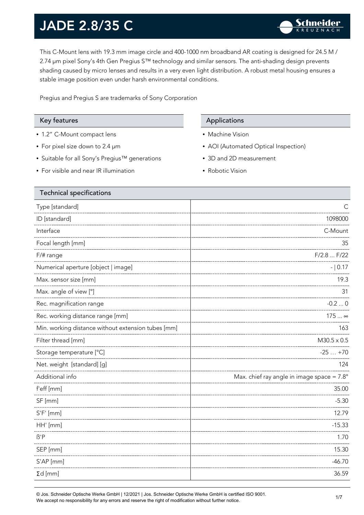This C-Mount lens with 19.3 mm image circle and 400-1000 nm broadband AR coating is designed for 24.5 M / 2.74 µm pixel Sony's 4th Gen Pregius S™ technology and similar sensors. The anti-shading design prevents shading caused by micro lenses and results in a very even light distribution. A robust metal housing ensures a stable image position even under harsh environmental conditions.

Pregius and Pregius S are trademarks of Sony Corporation

- 1.2" C-Mount compact lens
- For pixel size down to 2.4 µm
- Suitable for all Sony's Pregius™ generations
- For visible and near IR illumination

#### Key features **Applications** Applications

- Machine Vision
- AOI (Automated Optical Inspection)
- 3D and 2D measurement
- Robotic Vision

| <b>Technical specifications</b>                    |                                                     |
|----------------------------------------------------|-----------------------------------------------------|
| Type [standard]                                    |                                                     |
| ID [standard]                                      | 1098000                                             |
| Interface                                          | C-Mount                                             |
| Focal length [mm]                                  | 35                                                  |
| $F/\#$ range                                       | F/2.8  F/22                                         |
| Numerical aperture [object   image]                | $- 0.17$                                            |
| Max. sensor size [mm]                              | 19.3                                                |
| Max. angle of view [°]                             | 31                                                  |
| Rec. magnification range                           | $-0.20$                                             |
| Rec. working distance range [mm]                   | 175  ∞                                              |
| Min. working distance without extension tubes [mm] | 163                                                 |
| Filter thread [mm]                                 | $M30.5 \times 0.5$                                  |
| Storage temperature [°C]                           | $-25+70$                                            |
| Net. weight [standard] [g]                         | 124                                                 |
| Additional info                                    | Max. chief ray angle in image space = $7.8^{\circ}$ |
| f'eff [mm]                                         | 35.00                                               |
| SF [mm]                                            | $-5.30$                                             |
| $S'F'$ [mm]                                        | 12.79                                               |
| HH' [mm]                                           | $-15.33$                                            |
| $\beta$ 'P                                         | 1.70                                                |
| SEP [mm]                                           | 15.30                                               |
| S'AP [mm]                                          | $-46.70$                                            |
| $\Sigma d$ [mm]                                    | 36.59                                               |
|                                                    |                                                     |

© Jos. Schneider Optische Werke GmbH | 12/2021 | Jos. Schneider Optische Werke GmbH is certified ISO 9001. We accept no responsibility for any errors and reserve the right of modification without further notice.<br>We accept no responsibility for any errors and reserve the right of modification without further notice.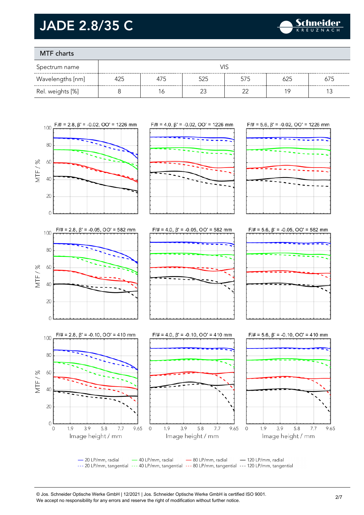

### MTF charts

| Spectrum name    |     |     |        |        |     |     |
|------------------|-----|-----|--------|--------|-----|-----|
| Wavelengths [nm] | 425 | 475 | 525    | 575    | 625 | 675 |
| Rel. weights [%] |     | 6   | $\sim$ | $\sim$ | 19  |     |



- 20 LP/mm, radial - 40 LP/mm, radial - 80 LP/mm, radial - 120 LP/mm, radial --- 20 LP/mm, tangential --- 40 LP/mm, tangential --- 80 LP/mm, tangential --- 120 LP/mm, tangential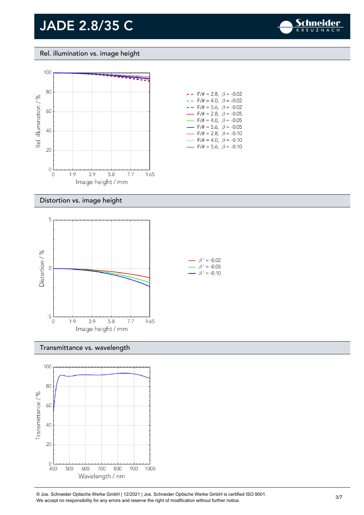

Rel. illumination vs. image height



#### Distortion vs. image height



#### Transmittance vs. wavelength



© Jos. Schneider Optische Werke GmbH | 12/2021 | Jos. Schneider Optische Werke GmbH is certified ISO 9001. We accept no responsibility for any errors and reserve the right of modification without further notice.<br>We accept no responsibility for any errors and reserve the right of modification without further notice.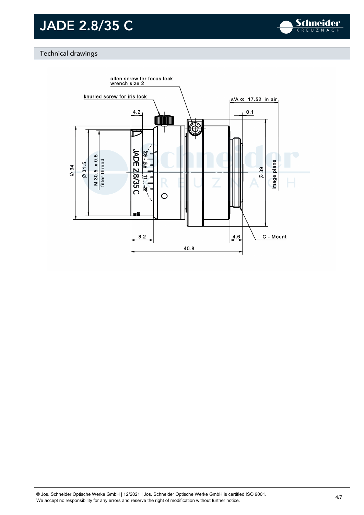

### Technical drawings

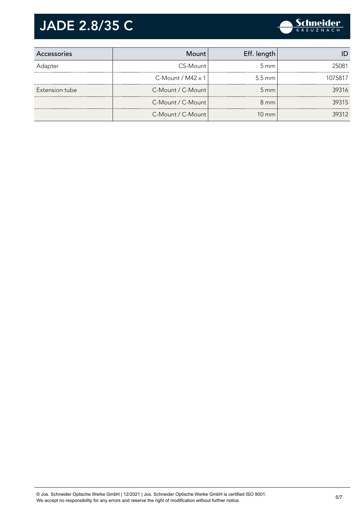

| Accessories    | Mount                       | Eff. length        |         |
|----------------|-----------------------------|--------------------|---------|
| Adapter        | CS-Mount                    | $5 \text{ mm}$     | 25081   |
|                | $C$ -Mount / M42 $\times$ 1 | $5.5 \text{ mm}$   | 1075817 |
| Extension tube | C-Mount / C-Mount           | $5 \, \mathrm{mm}$ | 39316   |
|                | C-Mount / C-Mount           | $8 \text{ mm}$     | 39315   |
|                | C-Mount / C-Mount           | $10 \text{ mm}$    | 39312   |